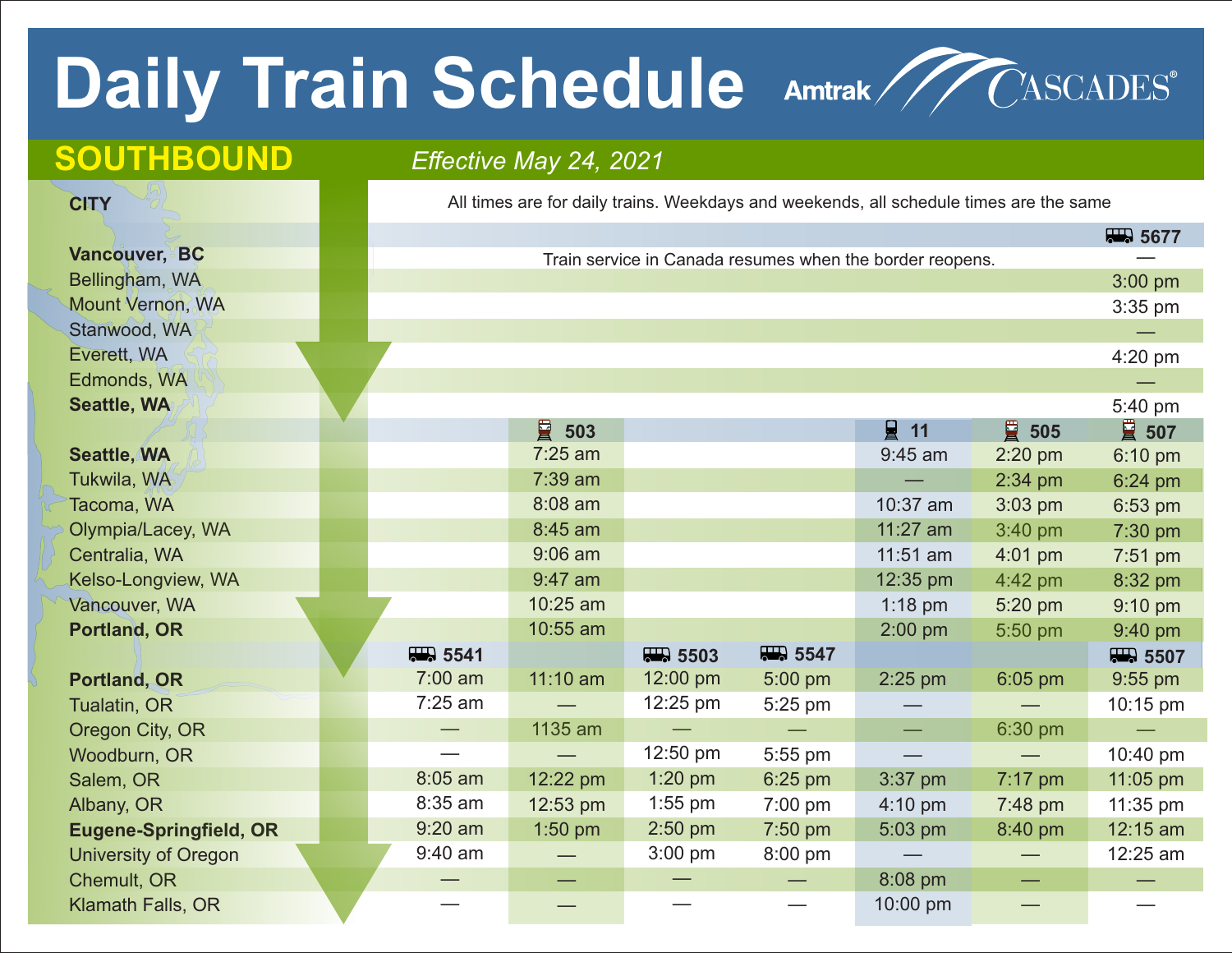## Daily Train Schedule Amtrak / CASCADES®



## **SOUTHBOUND** *Effective May 24, 2021*

**CITY**

All times are for daily trains. Weekdays and weekends, all schedule times are the same

|                               |           |            |                    |                                 |                                                          |                          | 5677                   |
|-------------------------------|-----------|------------|--------------------|---------------------------------|----------------------------------------------------------|--------------------------|------------------------|
| <b>Vancouver, BC</b>          |           |            |                    |                                 | Train service in Canada resumes when the border reopens. |                          |                        |
| Bellingham, WA                |           |            |                    |                                 |                                                          |                          | $3:00$ pm              |
| Mount Vernon, WA              |           |            |                    |                                 |                                                          |                          | 3:35 pm                |
| Stanwood, WA                  |           |            |                    |                                 |                                                          |                          |                        |
| Everett, WA                   |           |            |                    |                                 |                                                          |                          | 4:20 pm                |
| Edmonds, WA                   |           |            |                    |                                 |                                                          |                          |                        |
| Seattle, WA                   |           |            |                    |                                 |                                                          |                          | 5:40 pm                |
|                               |           | 冒<br>503   |                    |                                 | $\Box$ 11                                                | ■ 505                    | ■ 507                  |
| <b>Seattle, WA</b>            |           | 7:25 am    |                    |                                 | 9:45 am                                                  | $2:20$ pm                | 6:10 pm                |
| Tukwila, WA                   |           | $7:39$ am  |                    |                                 |                                                          | $2:34$ pm                | 6:24 pm                |
| Tacoma, WA                    |           | 8:08 am    |                    |                                 | 10:37 am                                                 | $3:03$ pm                | 6:53 pm                |
| Olympia/Lacey, WA             |           | 8:45 am    |                    |                                 | 11:27 am                                                 | 3:40 pm                  | 7:30 pm                |
| Centralia, WA                 |           | $9:06$ am  |                    |                                 | $11:51$ am                                               | $4:01$ pm                | 7:51 pm                |
| Kelso-Longview, WA            |           | $9:47$ am  |                    |                                 | 12:35 pm                                                 | 4:42 pm                  | 8:32 pm                |
| Vancouver, WA                 |           | 10:25 am   |                    |                                 | $1:18$ pm                                                | 5:20 pm                  | $9:10$ pm              |
| <b>Portland, OR</b>           |           | 10:55 am   |                    |                                 | $2:00$ pm                                                | 5:50 pm                  | 9:40 pm                |
|                               | 77.5541   |            | <b>RED.</b> 5503   | 77.5547                         |                                                          |                          | $\overline{44}$ , 5507 |
| <b>Portland, OR</b>           | $7:00$ am | $11:10$ am | 12:00 pm           | 5:00 pm                         | $2:25$ pm                                                | $6:05$ pm                | 9:55 pm                |
| Tualatin, OR                  | $7:25$ am |            | $12:25 \text{ pm}$ | 5:25 pm                         |                                                          |                          | 10:15 pm               |
| Oregon City, OR               |           | 1135 am    |                    |                                 | $\overline{\phantom{a}}$                                 | 6:30 pm                  |                        |
| Woodburn, OR                  |           |            | 12:50 pm           | 5:55 pm                         |                                                          |                          | 10:40 pm               |
| Salem, OR                     | 8:05 am   | 12:22 pm   | $1:20$ pm          | 6:25 pm                         | $3:37$ pm                                                | 7:17 pm                  | 11:05 pm               |
| Albany, OR                    | 8:35 am   | 12:53 pm   | $1:55$ pm          | 7:00 pm                         | $4:10 \text{ pm}$                                        | 7:48 pm                  | 11:35 pm               |
| <b>Eugene-Springfield, OR</b> | $9:20$ am | 1:50 pm    | $2:50$ pm          | 7:50 pm                         | 5:03 pm                                                  | 8:40 pm                  | 12:15 am               |
| <b>University of Oregon</b>   | 9:40 am   |            | $3:00$ pm          | 8:00 pm                         |                                                          | $\overline{\phantom{m}}$ | 12:25 am               |
| Chemult, OR                   |           |            |                    | $\hspace{0.1mm}-\hspace{0.1mm}$ | 8:08 pm                                                  | $\overline{\phantom{0}}$ |                        |
| Klamath Falls, OR             |           |            |                    |                                 | 10:00 pm                                                 |                          |                        |